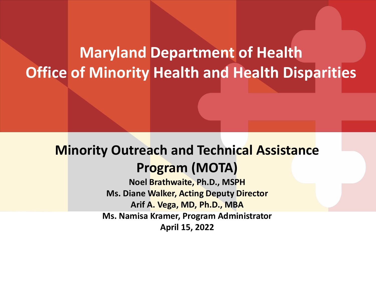#### **Maryland Department of Health Office of Minority Health and Health Disparities**

#### **Minority Outreach and Technical Assistance Program (MOTA)**

**Noel Brathwaite, Ph.D., MSPH Ms. Diane Walker, Acting Deputy Director Arif A. Vega, MD, Ph.D., MBA Ms. Namisa Kramer, Program Administrator April 15, 2022**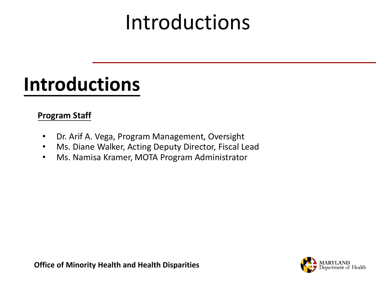## Introductions

#### **Introductions**

#### **Program Staff**

- Dr. Arif A. Vega, Program Management, Oversight
- Ms. Diane Walker, Acting Deputy Director, Fiscal Lead
- Ms. Namisa Kramer, MOTA Program Administrator

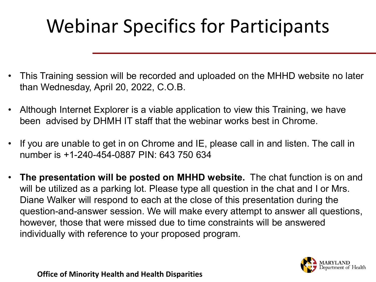### Webinar Specifics for Participants

- This Training session will be recorded and uploaded on the MHHD website no later than Wednesday, April 20, 2022, C.O.B.
- Although Internet Explorer is a viable application to view this Training, we have been advised by DHMH IT staff that the webinar works best in Chrome.
- If you are unable to get in on Chrome and IE, please call in and listen. The call in number is +1-240-454-0887 PIN: 643 750 634
- **The presentation will be posted on MHHD website.** The chat function is on and will be utilized as a parking lot. Please type all question in the chat and I or Mrs. Diane Walker will respond to each at the close of this presentation during the question-and-answer session. We will make every attempt to answer all questions, however, those that were missed due to time constraints will be answered individually with reference to your proposed program.

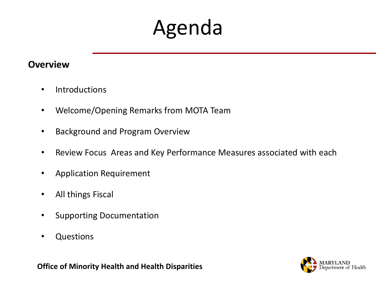### Agenda

#### **Overview**

- Introductions
- Welcome/Opening Remarks from MOTA Team
- Background and Program Overview
- Review Focus Areas and Key Performance Measures associated with each
- Application Requirement
- All things Fiscal
- Supporting Documentation
- Questions

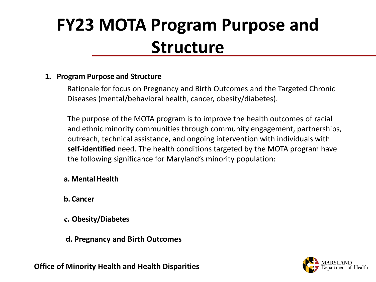#### **FY23 MOTA Program Purpose and Structure**

#### **1. Program Purpose and Structure**

Rationale for focus on Pregnancy and Birth Outcomes and the Targeted Chronic Diseases (mental/behavioral health, cancer, obesity/diabetes).

The purpose of the MOTA program is to improve the health outcomes of racial and ethnic minority communities through community engagement, partnerships, outreach, technical assistance, and ongoing intervention with individuals with **self-identified** need. The health conditions targeted by the MOTA program have the following significance for Maryland's minority population:

#### **a. Mental Health**

- **b. Cancer**
- **c. Obesity/Diabetes**
- **d. Pregnancy and Birth Outcomes**

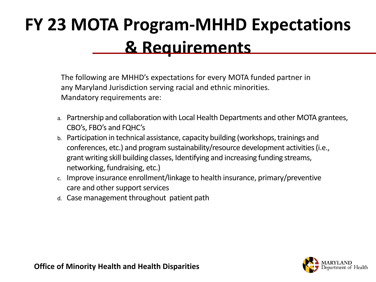#### **FY 23 MOTA Program-MHHD Expectations & Requirements**

The following are MHHD's expectations for every MOTA funded partner in any Maryland Jurisdiction serving racial and ethnic minorities. Mandatory requirements are:

- a. Partnership and collaboration with Local Health Departments and other MOTA grantees, CBO's, FBO's and FQHC's
- b. Participation in technical assistance, capacity building (workshops, trainings and conferences, etc.) and program sustainability/resource development activities (i.e., grant writing skill building classes, Identifying and increasing funding streams, networking, fundraising, etc.)
- c. Improve insurance enrollment/linkage to health insurance, primary/preventive care and other support services
- d. Case management throughout patient path

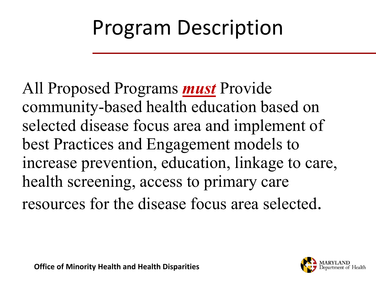## Program Description

All Proposed Programs *must* Provide community-based health education based on selected disease focus area and implement of best Practices and Engagement models to increase prevention, education, linkage to care, health screening, access to primary care resources for the disease focus area selected.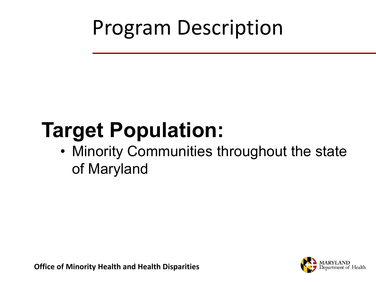## Program Description

# **Target Population:**

• Minority Communities throughout the state of Maryland

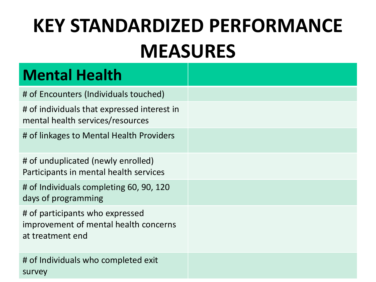#### **Mental Health**

| # of Encounters (Individuals touched)                                                        |  |
|----------------------------------------------------------------------------------------------|--|
| # of individuals that expressed interest in<br>mental health services/resources              |  |
| # of linkages to Mental Health Providers                                                     |  |
| # of unduplicated (newly enrolled)<br>Participants in mental health services                 |  |
| # of Individuals completing 60, 90, 120<br>days of programming                               |  |
| # of participants who expressed<br>improvement of mental health concerns<br>at treatment end |  |
| # of Individuals who completed exit<br>survey                                                |  |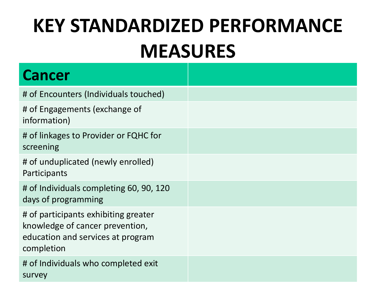| <b>Cancer</b>                                                                                                              |  |
|----------------------------------------------------------------------------------------------------------------------------|--|
| # of Encounters (Individuals touched)                                                                                      |  |
| # of Engagements (exchange of<br>information)                                                                              |  |
| # of linkages to Provider or FQHC for<br>screening                                                                         |  |
| # of unduplicated (newly enrolled)<br>Participants                                                                         |  |
| # of Individuals completing 60, 90, 120<br>days of programming                                                             |  |
| # of participants exhibiting greater<br>knowledge of cancer prevention,<br>education and services at program<br>completion |  |
| # of Individuals who completed exit<br>survey                                                                              |  |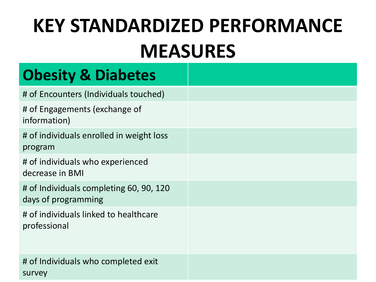#### **Obesity & Diabetes**

| # of Encounters (Individuals touched)                          |
|----------------------------------------------------------------|
| # of Engagements (exchange of<br>information)                  |
| # of individuals enrolled in weight loss<br>program            |
| # of individuals who experienced<br>decrease in BMI            |
| # of Individuals completing 60, 90, 120<br>days of programming |
| # of individuals linked to healthcare<br>professional          |
| # of Individuals who completed exit<br>survey                  |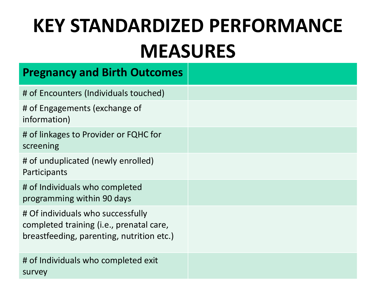| <b>Pregnancy and Birth Outcomes</b>                                                                                        |
|----------------------------------------------------------------------------------------------------------------------------|
| # of Encounters (Individuals touched)                                                                                      |
| # of Engagements (exchange of<br>information)                                                                              |
| # of linkages to Provider or FQHC for<br>screening                                                                         |
| # of unduplicated (newly enrolled)<br>Participants                                                                         |
| # of Individuals who completed<br>programming within 90 days                                                               |
| # Of individuals who successfully<br>completed training (i.e., prenatal care,<br>breastfeeding, parenting, nutrition etc.) |
| # of Individuals who completed exit<br>survey                                                                              |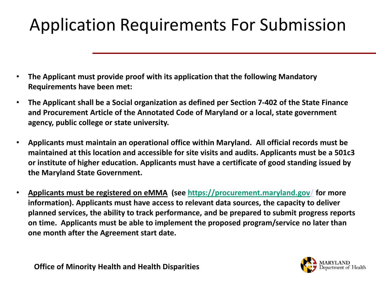#### Application Requirements For Submission

- **The Applicant must provide proof with its application that the following Mandatory Requirements have been met:**
- **The Applicant shall be a Social organization as defined per Section 7-402 of the State Finance and Procurement Article of the Annotated Code of Maryland or a local, state government agency, public college or state university.**
- **Applicants must maintain an operational office within Maryland. All official records must be maintained at this location and accessible for site visits and audits. Applicants must be a 501c3 or institute of higher education. Applicants must have a certificate of good standing issued by the Maryland State Government.**
- **Applicants must be registered on eMMA (see [https://procurement.maryland.gov/](about:blank) for more information). Applicants must have access to relevant data sources, the capacity to deliver planned services, the ability to track performance, and be prepared to submit progress reports on time. Applicants must be able to implement the proposed program/service no later than one month after the Agreement start date.**

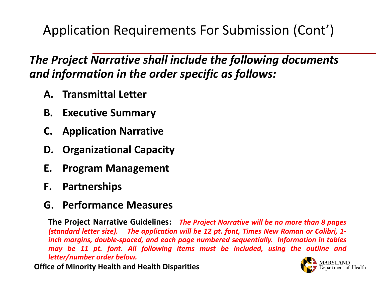Application Requirements For Submission (Cont')

#### *The Project Narrative shall include the following documents and information in the order specific as follows:*

- **A. Transmittal Letter**
- **B. Executive Summary**
- **C. Application Narrative**
- **D. Organizational Capacity**
- **E. Program Management**
- **F. Partnerships**

#### **G. Performance Measures**

**The Project Narrative Guidelines:** *The Project Narrative will be no more than 8 pages (standard letter size). The application will be 12 pt. font, Times New Roman or Calibri, 1 inch margins, double-spaced, and each page numbered sequentially. Information in tables may be 11 pt. font. All following items must be included, using the outline and letter/number order below.*

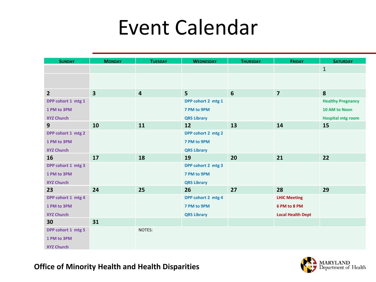### Event Calendar

| <b>SUNDAY</b>      | <b>MONDAY</b>           | <b>TUESDAY</b>          | <b>WEDNESDAY</b>   | <b>THURSDAY</b> | <b>FRIDAY</b>            | <b>SATURDAY</b>          |
|--------------------|-------------------------|-------------------------|--------------------|-----------------|--------------------------|--------------------------|
|                    |                         |                         |                    |                 |                          | $\mathbf{1}$             |
|                    |                         |                         |                    |                 |                          |                          |
|                    |                         |                         |                    |                 |                          |                          |
| $\overline{2}$     | $\overline{\mathbf{3}}$ | $\overline{\mathbf{4}}$ | 5 <sup>5</sup>     | 6               | $\overline{\mathbf{z}}$  | 8                        |
| DPP cohort 1 mtg 1 |                         |                         | DPP cohort 2 mtg 1 |                 |                          | <b>Healthy Pregnancy</b> |
| 1 PM to 3PM        |                         |                         | 7 PM to 9PM        |                 |                          | 10 AM to Noon            |
| <b>XYZ Church</b>  |                         |                         | <b>QRS Library</b> |                 |                          | <b>Hospital mtg room</b> |
| 9                  | 10                      | 11                      | 12                 | 13              | 14                       | 15                       |
| DPP cohort 1 mtg 2 |                         |                         | DPP cohort 2 mtg 2 |                 |                          |                          |
| 1 PM to 3PM        |                         |                         | 7 PM to 9PM        |                 |                          |                          |
| <b>XYZ Church</b>  |                         |                         | <b>QRS Library</b> |                 |                          |                          |
| 16                 | 17                      | 18                      | 19                 | 20              | 21                       | 22                       |
| DPP cohort 1 mtg 3 |                         |                         | DPP cohort 2 mtg 3 |                 |                          |                          |
| 1 PM to 3PM        |                         |                         | 7 PM to 9PM        |                 |                          |                          |
| <b>XYZ Church</b>  |                         |                         | <b>QRS Library</b> |                 |                          |                          |
| 23                 | 24                      | 25                      | 26                 | 27              | 28                       | 29                       |
| DPP cohort 1 mtg 4 |                         |                         | DPP cohort 2 mtg 4 |                 | <b>LHIC Meeting</b>      |                          |
| 1 PM to 3PM        |                         |                         | 7 PM to 9PM        |                 | 6 PM to 8 PM             |                          |
| <b>XYZ Church</b>  |                         |                         | <b>QRS Library</b> |                 | <b>Local Health Dept</b> |                          |
| 30                 | 31                      |                         |                    |                 |                          |                          |
| DPP cohort 1 mtg 5 |                         | NOTES:                  |                    |                 |                          |                          |
| 1 PM to 3PM        |                         |                         |                    |                 |                          |                          |
| <b>XYZ Church</b>  |                         |                         |                    |                 |                          |                          |

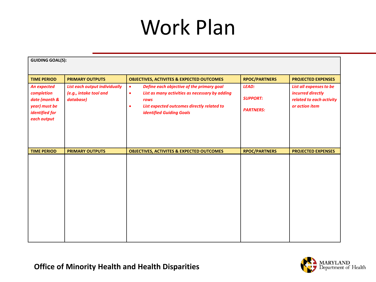### Work Plan

| <b>GUIDING GOAL(S):</b>                                                                             |                                                                      |                                                                                                                                                                                                                             |                                                     |                                                                                            |  |
|-----------------------------------------------------------------------------------------------------|----------------------------------------------------------------------|-----------------------------------------------------------------------------------------------------------------------------------------------------------------------------------------------------------------------------|-----------------------------------------------------|--------------------------------------------------------------------------------------------|--|
| <b>TIME PERIOD</b>                                                                                  | <b>PRIMARY OUTPUTS</b>                                               | <b>OBJECTIVES, ACTIVITES &amp; EXPECTED OUTCOMES</b>                                                                                                                                                                        | <b>RPOC/PARTNERS</b>                                | <b>PROJECTED EXPENSES</b>                                                                  |  |
| <b>An expected</b><br>completion<br>date (month &<br>year) must be<br>identified for<br>each output | List each output individually<br>(e.g., intake tool and<br>database) | Define each objective of the primary goal<br>$\bullet$<br>List as many activities as necessary by adding<br>$\bullet$<br>rows<br>List expected outcomes directly related to<br>$\bullet$<br><b>identified Guiding Goals</b> | <b>LEAD:</b><br><b>SUPPORT:</b><br><b>PARTNERS:</b> | List all expenses to be<br>incurred directly<br>related to each activity<br>or action item |  |
| <b>TIME PERIOD</b>                                                                                  | <b>PRIMARY OUTPUTS</b>                                               | <b>OBJECTIVES, ACTIVITES &amp; EXPECTED OUTCOMES</b>                                                                                                                                                                        | <b>RPOC/PARTNERS</b>                                | <b>PROJECTED EXPENSES</b>                                                                  |  |
|                                                                                                     |                                                                      |                                                                                                                                                                                                                             |                                                     |                                                                                            |  |

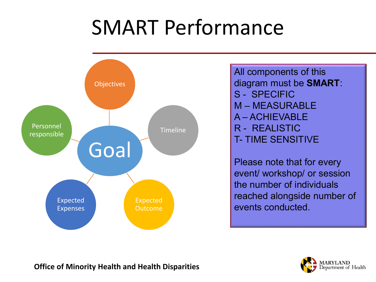## SMART Performance



All components of this diagram must be **SMART**: S - SPECIFIC M – MEASURABLE A – ACHIEVABLE R - REALISTIC T- TIME SENSITIVE

Please note that for every event/ workshop/ or session the number of individuals reached alongside number of events conducted.

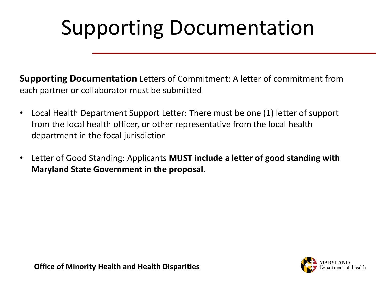# Supporting Documentation

**Supporting Documentation** Letters of Commitment: A letter of commitment from each partner or collaborator must be submitted

- Local Health Department Support Letter: There must be one (1) letter of support from the local health officer, or other representative from the local health department in the focal jurisdiction
- Letter of Good Standing: Applicants **MUST include a letter of good standing with Maryland State Government in the proposal.**

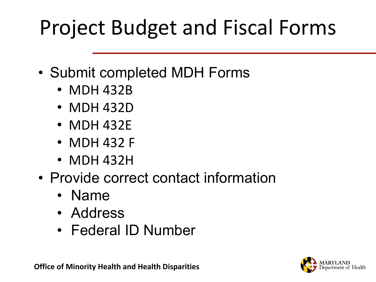# Project Budget and Fiscal Forms

- Submit completed MDH Forms
	- MDH 432B
	- MDH 432D
	- MDH 432E
	- MDH 432 F
	- MDH 432H
- Provide correct contact information
	- Name
	- Address
	- Federal ID Number



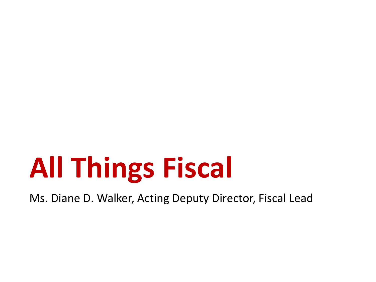# **All Things Fiscal**

Ms. Diane D. Walker, Acting Deputy Director, Fiscal Lead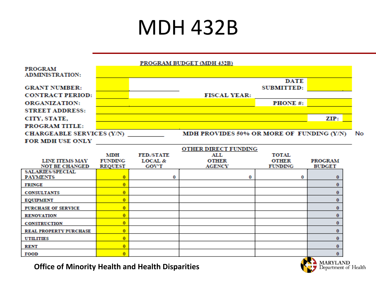### MDH 432B



| LIINE HEEMS MEVI              | <b>TUNDING</b> | LUCAL &      | VILLA         | VILLA          | PROGRAM       |
|-------------------------------|----------------|--------------|---------------|----------------|---------------|
| <b>NOT BE CHANGED</b>         | <b>REQUEST</b> | <b>GOV'T</b> | <b>AGENCY</b> | <b>FUNDING</b> | <b>BUDGET</b> |
| <b>SALARIES/SPECIAL</b>       |                |              |               |                |               |
| <b>PAYMENTS</b>               |                |              |               |                |               |
| <b>FRINGE</b>                 |                |              |               |                |               |
| <b>CONSULTANTS</b>            |                |              |               |                |               |
| <b>EQUIPMENT</b>              |                |              |               |                |               |
| <b>PURCHASE OF SERVICE</b>    |                |              |               |                |               |
| <b>RENOVATION</b>             |                |              |               |                |               |
| <b>CONSTRUCTION</b>           |                |              |               |                |               |
| <b>REAL PROPERTY PURCHASE</b> |                |              |               |                |               |
| <b>UTILITIES</b>              |                |              |               |                |               |
| <b>RENT</b>                   |                |              |               |                |               |
| FOOD                          |                |              |               |                |               |

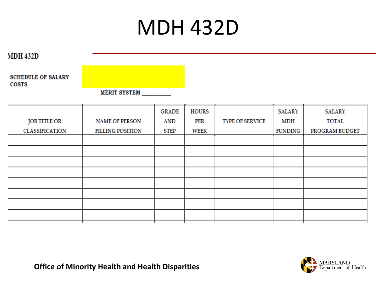### MDH 432D

**MDH 432D** 

**SCHEDULE OF SALARY COSTS** 

**MERIT SYSTEM** 

| <b>JOB TITLE OR</b> | <b>NAME OF PERSON</b>   | <b>GRADE</b><br>AND | <b>HOURS</b><br>PER | <b>TYPE OF SERVICE</b> | SALARY<br>MDH | SALARY<br><b>TOTAL</b> |
|---------------------|-------------------------|---------------------|---------------------|------------------------|---------------|------------------------|
| CLASSIFICATION      | <b>FILLING POSITION</b> | <b>STEP</b>         | WEEK                |                        | FUNDING       | PROGRAM BUDGET         |
|                     |                         |                     |                     |                        |               |                        |
|                     |                         |                     |                     |                        |               |                        |
|                     |                         |                     |                     |                        |               |                        |
|                     |                         |                     |                     |                        |               |                        |
|                     |                         |                     |                     |                        |               |                        |
|                     |                         |                     |                     |                        |               |                        |
|                     |                         |                     |                     |                        |               |                        |
|                     |                         |                     |                     |                        |               |                        |

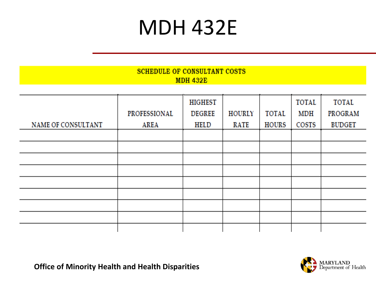### MDH 432E

| <b>SCHEDULE OF CONSULTANT COSTS</b><br><b>MDH 432E</b> |              |                |             |       |       |               |
|--------------------------------------------------------|--------------|----------------|-------------|-------|-------|---------------|
|                                                        |              |                |             |       |       |               |
|                                                        |              | <b>HIGHEST</b> |             |       | TOTAL | TOTAL         |
|                                                        | PROFESSIONAL | <b>DEGREE</b>  | HOURLY      | TOTAL | MDH   | PROGRAM       |
| <b>NAME OF CONSULTANT</b>                              | AREA         | HELD           | <b>RATE</b> | HOURS | COSTS | <b>BUDGET</b> |
|                                                        |              |                |             |       |       |               |
|                                                        |              |                |             |       |       |               |
|                                                        |              |                |             |       |       |               |
|                                                        |              |                |             |       |       |               |
|                                                        |              |                |             |       |       |               |
|                                                        |              |                |             |       |       |               |
|                                                        |              |                |             |       |       |               |
|                                                        |              |                |             |       |       |               |
|                                                        |              |                |             |       |       |               |



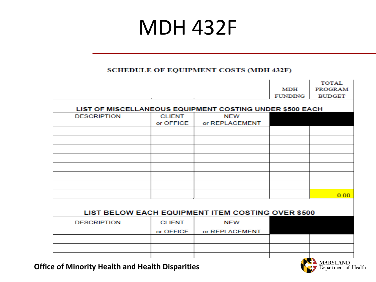### MDH 432F

#### **SCHEDULE OF EQUIPMENT COSTS (MDH 432F)**

|               |                | MDH            | <b>PROGRAM</b>                                                                                                |
|---------------|----------------|----------------|---------------------------------------------------------------------------------------------------------------|
|               |                | <b>FUNDING</b> | <b>BUDGET</b>                                                                                                 |
|               |                |                |                                                                                                               |
| <b>CLIENT</b> | <b>NEW</b>     |                |                                                                                                               |
| or OFFICE     | or REPLACEMENT |                |                                                                                                               |
|               |                |                |                                                                                                               |
|               |                |                |                                                                                                               |
|               |                |                |                                                                                                               |
|               |                |                |                                                                                                               |
|               |                |                |                                                                                                               |
|               |                |                |                                                                                                               |
|               |                |                |                                                                                                               |
|               |                |                |                                                                                                               |
|               |                |                | 0.00                                                                                                          |
|               |                |                |                                                                                                               |
|               |                |                |                                                                                                               |
| <b>CLIENT</b> | <b>NEW</b>     |                |                                                                                                               |
|               |                |                |                                                                                                               |
|               |                |                |                                                                                                               |
|               |                |                |                                                                                                               |
|               |                |                |                                                                                                               |
|               |                |                |                                                                                                               |
|               | or OFFICE      | or REPLACEMENT | LIST OF MISCELLANEOUS EQUIPMENT COSTING UNDER \$500 EACH<br>LIST BELOW EACH EQUIPMENT ITEM COSTING OVER \$500 |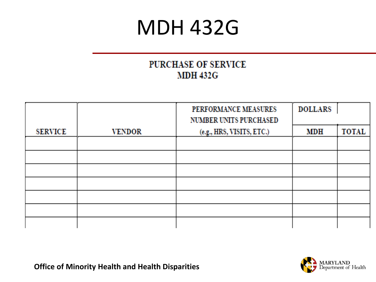#### MDH 432G

#### PURCHASE OF SERVICE **MDH 432G**

|                |               | PERFORMANCE MEASURES<br><b>NUMBER UNITS PURCHASED</b> | <b>DOLLARS</b> |              |
|----------------|---------------|-------------------------------------------------------|----------------|--------------|
| <b>SERVICE</b> | <b>VENDOR</b> | (e.g., HRS, VISITS, ETC.)                             | MDH            | <b>TOTAL</b> |
|                |               |                                                       |                |              |
|                |               |                                                       |                |              |
|                |               |                                                       |                |              |
|                |               |                                                       |                |              |
|                |               |                                                       |                |              |
|                |               |                                                       |                |              |
|                |               |                                                       |                |              |

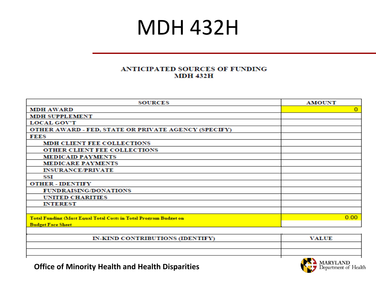#### MDH 432H

#### **ANTICIPATED SOURCES OF FUNDING MDH 432H**

| <b>SOURCES</b>                                                          | <b>AMOUNT</b> |
|-------------------------------------------------------------------------|---------------|
| <b>MDH AWARD</b>                                                        | $\Omega$      |
| <b>MDH SUPPLEMENT</b>                                                   |               |
| <b>LOCAL GOV'T</b>                                                      |               |
| OTHER AWARD - FED, STATE OR PRIVATE AGENCY (SPECIFY)                    |               |
| <b>FEES</b>                                                             |               |
| <b>MDH CLIENT FEE COLLECTIONS</b>                                       |               |
| OTHER CLIENT FEE COLLECTIONS                                            |               |
| <b>MEDICAID PAYMENTS</b>                                                |               |
| <b>MEDICARE PAYMENTS</b>                                                |               |
| <b>INSURANCE/PRIVATE</b>                                                |               |
| SSI                                                                     |               |
| <b>OTHER - IDENTIFY</b>                                                 |               |
| <b>FUNDRAISING/DONATIONS</b>                                            |               |
| <b>UNITED CHARITIES</b>                                                 |               |
| <b>INTEREST</b>                                                         |               |
|                                                                         |               |
| <b>Total Funding (Must Equal Total Costs in Total Program Budget on</b> | 0.00          |
| <b>Budget Face Sheet</b>                                                |               |
|                                                                         |               |

| IN-KIND CONTRIBUTIONS (IDENTIFY) | <b>VALUE</b> |
|----------------------------------|--------------|
|                                  |              |
|                                  |              |
|                                  | ---------    |

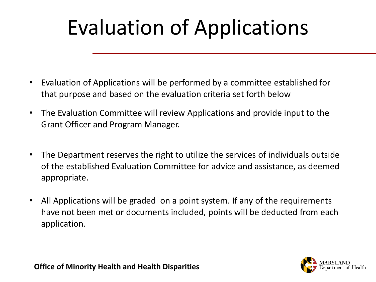# Evaluation of Applications

- Evaluation of Applications will be performed by a committee established for that purpose and based on the evaluation criteria set forth below
- The Evaluation Committee will review Applications and provide input to the Grant Officer and Program Manager.
- The Department reserves the right to utilize the services of individuals outside of the established Evaluation Committee for advice and assistance, as deemed appropriate.
- All Applications will be graded on a point system. If any of the requirements have not been met or documents included, points will be deducted from each application.